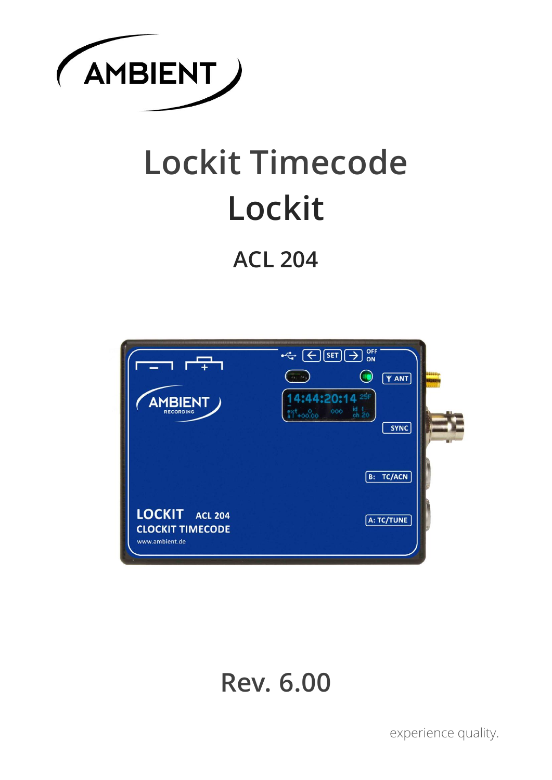

# **Lockit Timecode Lockit**

# **ACL 204**



# **Rev. 6.00**

experience quality.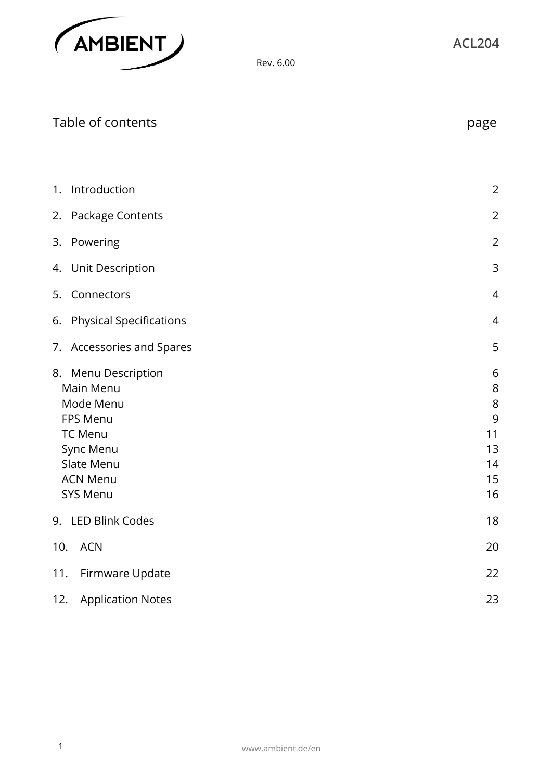

| Table of contents                                                                                                                     | page                                                 |
|---------------------------------------------------------------------------------------------------------------------------------------|------------------------------------------------------|
|                                                                                                                                       |                                                      |
| 1. Introduction                                                                                                                       | $\overline{2}$                                       |
| 2. Package Contents                                                                                                                   | $\overline{2}$                                       |
| 3. Powering                                                                                                                           | $\overline{2}$                                       |
| 4. Unit Description                                                                                                                   | $\mathsf 3$                                          |
| 5. Connectors                                                                                                                         | 4                                                    |
| 6. Physical Specifications                                                                                                            | $\overline{4}$                                       |
| 7. Accessories and Spares                                                                                                             | 5                                                    |
| 8. Menu Description<br>Main Menu<br>Mode Menu<br>FPS Menu<br><b>TC Menu</b><br>Sync Menu<br>Slate Menu<br><b>ACN Menu</b><br>SYS Menu | 6<br>$\,8\,$<br>8<br>9<br>11<br>13<br>14<br>15<br>16 |
| 9. LED Blink Codes                                                                                                                    | 18                                                   |
| 10.<br><b>ACN</b>                                                                                                                     | 20                                                   |
| 11.<br>Firmware Update                                                                                                                | 22                                                   |
| <b>Application Notes</b><br>12.                                                                                                       | 23                                                   |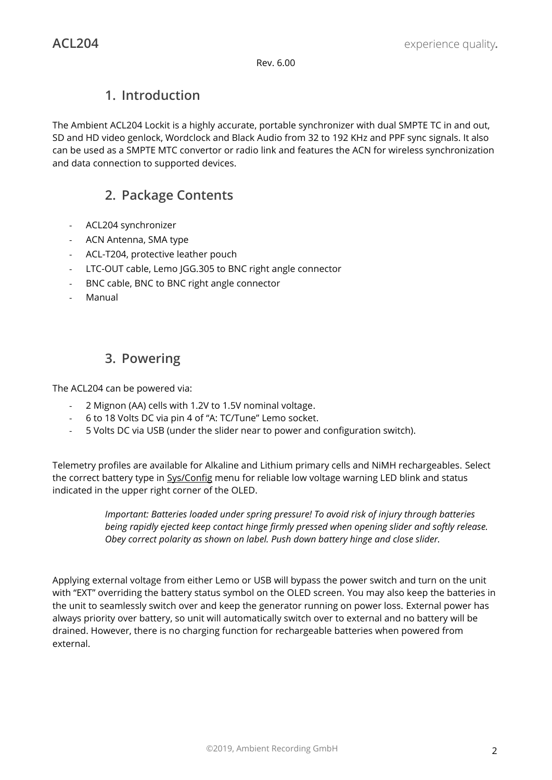# **1. Introduction**

The Ambient ACL204 Lockit is a highly accurate, portable synchronizer with dual SMPTE TC in and out, SD and HD video genlock, Wordclock and Black Audio from 32 to 192 KHz and PPF sync signals. It also can be used as a SMPTE MTC convertor or radio link and features the ACN for wireless synchronization and data connection to supported devices.

# **2. Package Contents**

- ACL204 synchronizer
- ACN Antenna, SMA type
- ACL-T204, protective leather pouch
- LTC-OUT cable, Lemo JGG.305 to BNC right angle connector
- BNC cable, BNC to BNC right angle connector
- Manual

# **3. Powering**

The ACL204 can be powered via:

- 2 Mignon (AA) cells with 1.2V to 1.5V nominal voltage.
- 6 to 18 Volts DC via pin 4 of "A: TC/Tune" Lemo socket.
- 5 Volts DC via USB (under the slider near to power and configuration switch).

Telemetry profiles are available for Alkaline and Lithium primary cells and NiMH rechargeables. Select the correct battery type in Sys/Config menu for reliable low voltage warning LED blink and status indicated in the upper right corner of the OLED.

> *Important: Batteries loaded under spring pressure! To avoid risk of injury through batteries being rapidly ejected keep contact hinge firmly pressed when opening slider and softly release. Obey correct polarity as shown on label. Push down battery hinge and close slider.*

Applying external voltage from either Lemo or USB will bypass the power switch and turn on the unit with "EXT" overriding the battery status symbol on the OLED screen. You may also keep the batteries in the unit to seamlessly switch over and keep the generator running on power loss. External power has always priority over battery, so unit will automatically switch over to external and no battery will be drained. However, there is no charging function for rechargeable batteries when powered from external.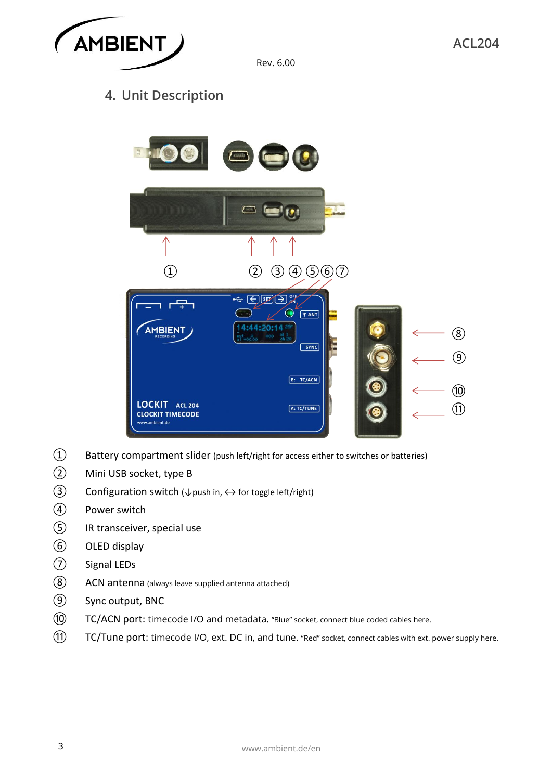

# **4. Unit Description**



- Battery compartment slider (push left/right for access either to switches or batteries)
- Mini USB socket, type B
- $\textcircled{3}$  Configuration switch ( $\downarrow$  push in,  $\leftrightarrow$  for toggle left/right)
- Power switch
- IR transceiver, special use
- OLED display
- Signal LEDs
- ACN antenna (always leave supplied antenna attached)
- Sync output, BNC
- TC/ACN port: timecode I/O and metadata. "Blue" socket, connect blue coded cables here.
- TC/Tune port: timecode I/O, ext. DC in, and tune. "Red" socket, connect cables with ext. power supply here.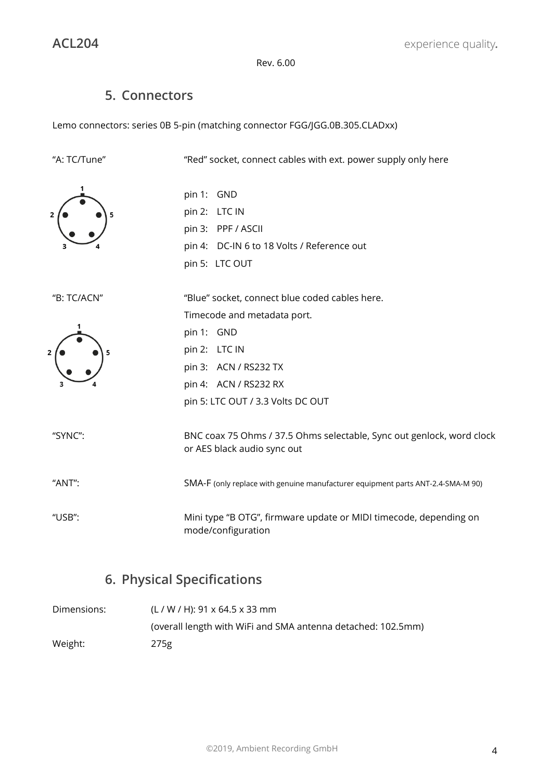# **5. Connectors**

Lemo connectors: series 0B 5-pin (matching connector FGG/JGG.0B.305.CLADxx)

| "A: TC/Tune" | "Red" socket, connect cables with ext. power supply only here                                        |
|--------------|------------------------------------------------------------------------------------------------------|
|              | pin 1: GND<br>pin 2: LTC IN<br>pin 3: PPF / ASCII<br>pin 4: DC-IN 6 to 18 Volts / Reference out      |
|              | pin 5: LTC OUT                                                                                       |
| "B: TC/ACN"  | "Blue" socket, connect blue coded cables here.                                                       |
|              | Timecode and metadata port.<br>pin 1: GND                                                            |
|              | pin 2: LTC IN<br>pin 3: ACN / RS232 TX                                                               |
|              | pin 4: ACN / RS232 RX<br>pin 5: LTC OUT / 3.3 Volts DC OUT                                           |
| "SYNC":      | BNC coax 75 Ohms / 37.5 Ohms selectable, Sync out genlock, word clock<br>or AES black audio sync out |
| "ANT":       | SMA-F (only replace with genuine manufacturer equipment parts ANT-2.4-SMA-M 90)                      |
| "USB":       | Mini type "B OTG", firmware update or MIDI timecode, depending on<br>mode/configuration              |

# **6. Physical Specifications**

| Dimensions: | $(L / W / H)$ : 91 x 64.5 x 33 mm                            |
|-------------|--------------------------------------------------------------|
|             | (overall length with WiFi and SMA antenna detached: 102.5mm) |
| Weight:     | 275g                                                         |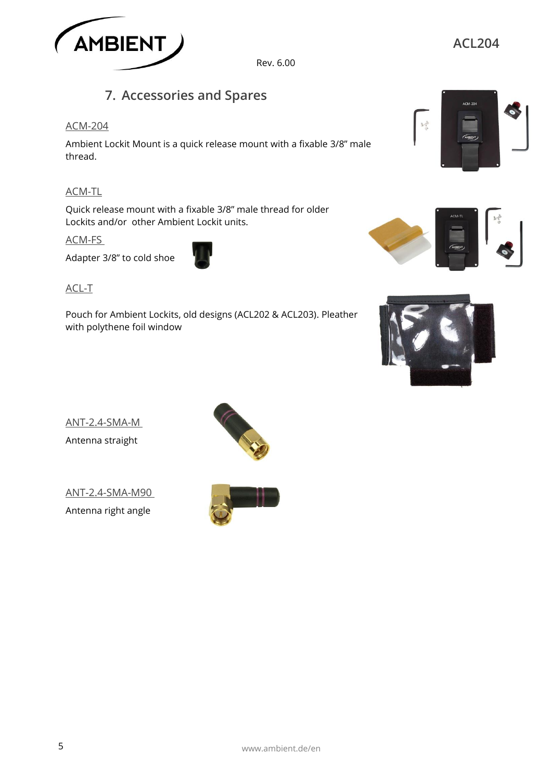

# **7. Accessories and Spares**

#### ACM-204

Ambient Lockit Mount is a quick release mount with a fixable 3/8" male thread.

#### ACM-TL

Quick release mount with a fixable 3/8" male thread for older Lockits and/or other Ambient Lockit units.

#### ACM-FS

Adapter 3/8" to cold shoe



Pouch for Ambient Lockits, old designs (ACL202 & ACL203). Pleather with polythene foil window



**ACL204**





ANT-2.4-SMA-M Antenna straight

ANT-2.4-SMA-M90 Antenna right angle



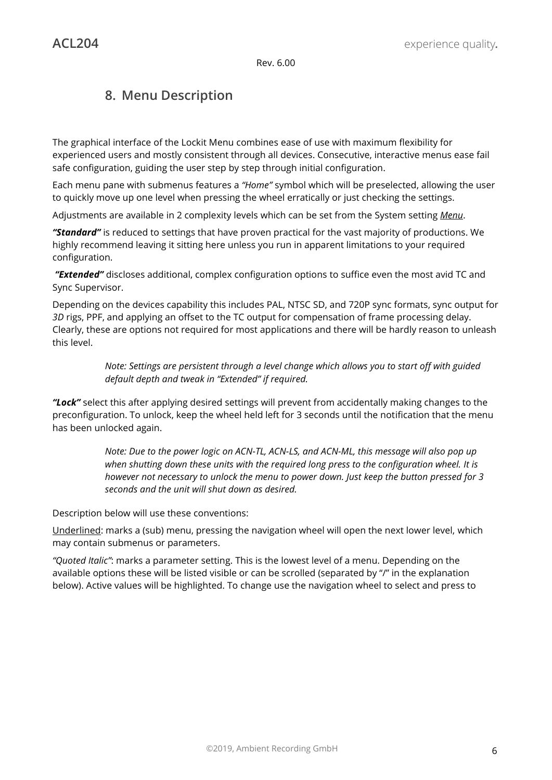# **8. Menu Description**

The graphical interface of the Lockit Menu combines ease of use with maximum flexibility for experienced users and mostly consistent through all devices. Consecutive, interactive menus ease fail safe configuration, guiding the user step by step through initial configuration.

Each menu pane with submenus features a *"Home"* symbol which will be preselected, allowing the user to quickly move up one level when pressing the wheel erratically or just checking the settings.

Adjustments are available in 2 complexity levels which can be set from the System setting *Menu*.

*"Standard"* is reduced to settings that have proven practical for the vast majority of productions. We highly recommend leaving it sitting here unless you run in apparent limitations to your required configuration.

*"Extended"* discloses additional, complex configuration options to suffice even the most avid TC and Sync Supervisor.

Depending on the devices capability this includes PAL, NTSC SD, and 720P sync formats, sync output for *3D* rigs, PPF, and applying an offset to the TC output for compensation of frame processing delay. Clearly, these are options not required for most applications and there will be hardly reason to unleash this level.

> *Note: Settings are persistent through a level change which allows you to start off with guided default depth and tweak in "Extended" if required.*

*"Lock"* select this after applying desired settings will prevent from accidentally making changes to the preconfiguration. To unlock, keep the wheel held left for 3 seconds until the notification that the menu has been unlocked again.

> *Note: Due to the power logic on ACN-TL, ACN-LS, and ACN-ML, this message will also pop up when shutting down these units with the required long press to the configuration wheel. It is however not necessary to unlock the menu to power down. Just keep the button pressed for 3 seconds and the unit will shut down as desired.*

Description below will use these conventions:

Underlined: marks a (sub) menu, pressing the navigation wheel will open the next lower level, which may contain submenus or parameters.

*"Quoted Italic"*: marks a parameter setting. This is the lowest level of a menu. Depending on the available options these will be listed visible or can be scrolled (separated by "/" in the explanation below). Active values will be highlighted. To change use the navigation wheel to select and press to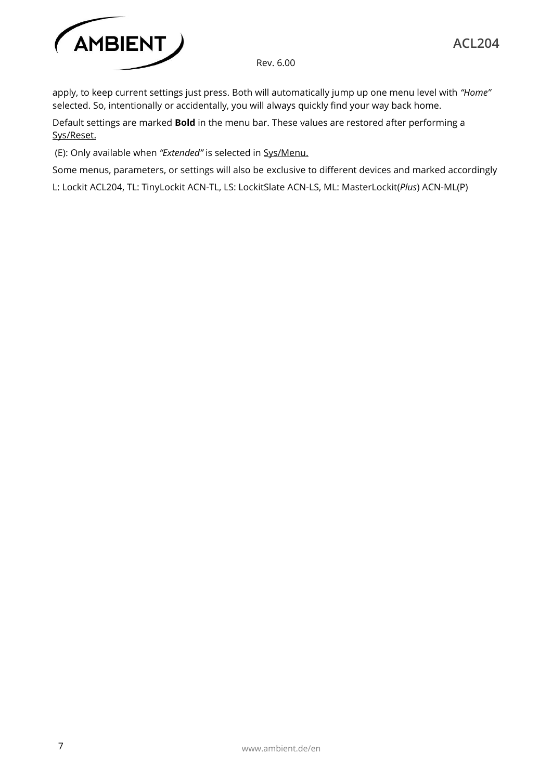

apply, to keep current settings just press. Both will automatically jump up one menu level with *"Home"* selected. So, intentionally or accidentally, you will always quickly find your way back home.

Default settings are marked **Bold** in the menu bar. These values are restored after performing a Sys/Reset.

(E): Only available when *"Extended"* is selected in Sys/Menu.

Some menus, parameters, or settings will also be exclusive to different devices and marked accordingly

L: Lockit ACL204, TL: TinyLockit ACN-TL, LS: LockitSlate ACN-LS, ML: MasterLockit(*Plus*) ACN-ML(P)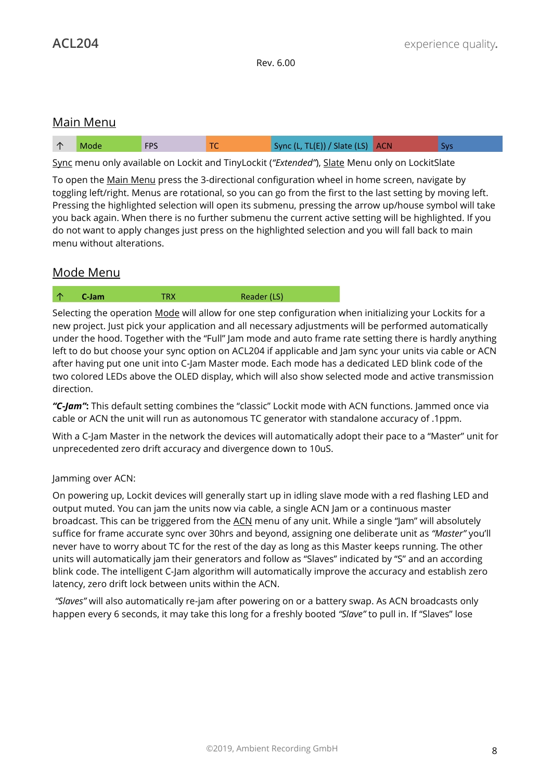#### Main Menu

| , TL(E)) / Slate (LS) $ $ ACN $ $<br>r no<br>Sync II<br>$\sqrt{ }$ |  |  |  |  |  |  |  |
|--------------------------------------------------------------------|--|--|--|--|--|--|--|
|--------------------------------------------------------------------|--|--|--|--|--|--|--|

Sync menu only available on Lockit and TinyLockit (*"Extended"*), Slate Menu only on LockitSlate

To open the Main Menu press the 3-directional configuration wheel in home screen, navigate by toggling left/right. Menus are rotational, so you can go from the first to the last setting by moving left. Pressing the highlighted selection will open its submenu, pressing the arrow up/house symbol will take you back again. When there is no further submenu the current active setting will be highlighted. If you do not want to apply changes just press on the highlighted selection and you will fall back to main menu without alterations.

## Mode Menu

↑ **C-Jam** TRX Reader (LS)

Selecting the operation Mode will allow for one step configuration when initializing your Lockits for a new project. Just pick your application and all necessary adjustments will be performed automatically under the hood. Together with the "Full" Jam mode and auto frame rate setting there is hardly anything left to do but choose your sync option on ACL204 if applicable and Jam sync your units via cable or ACN after having put one unit into C-Jam Master mode. Each mode has a dedicated LED blink code of the two colored LEDs above the OLED display, which will also show selected mode and active transmission direction.

*"C-Jam"***:** This default setting combines the "classic" Lockit mode with ACN functions. Jammed once via cable or ACN the unit will run as autonomous TC generator with standalone accuracy of .1ppm.

With a C-Jam Master in the network the devices will automatically adopt their pace to a "Master" unit for unprecedented zero drift accuracy and divergence down to 10uS.

#### Jamming over ACN:

On powering up, Lockit devices will generally start up in idling slave mode with a red flashing LED and output muted. You can jam the units now via cable, a single ACN Jam or a continuous master broadcast. This can be triggered from the ACN menu of any unit. While a single "Jam" will absolutely suffice for frame accurate sync over 30hrs and beyond, assigning one deliberate unit as *"Master"* you'll never have to worry about TC for the rest of the day as long as this Master keeps running. The other units will automatically jam their generators and follow as "Slaves" indicated by "S" and an according blink code. The intelligent C-Jam algorithm will automatically improve the accuracy and establish zero latency, zero drift lock between units within the ACN.

*"Slaves"* will also automatically re-jam after powering on or a battery swap. As ACN broadcasts only happen every 6 seconds, it may take this long for a freshly booted *"Slave"* to pull in. If "Slaves" lose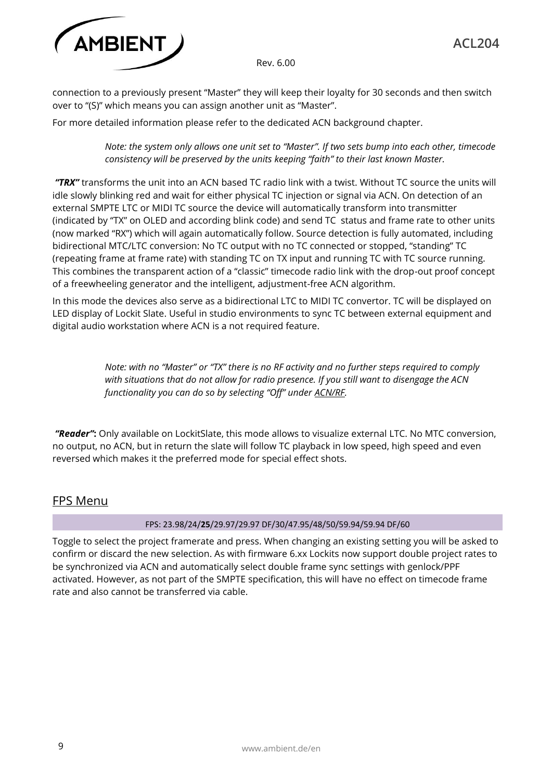

connection to a previously present "Master" they will keep their loyalty for 30 seconds and then switch over to "(S)" which means you can assign another unit as "Master".

For more detailed information please refer to the dedicated ACN background chapter.

*Note: the system only allows one unit set to "Master". If two sets bump into each other, timecode consistency will be preserved by the units keeping "faith" to their last known Master.*

*"TRX"* transforms the unit into an ACN based TC radio link with a twist. Without TC source the units will idle slowly blinking red and wait for either physical TC injection or signal via ACN. On detection of an external SMPTE LTC or MIDI TC source the device will automatically transform into transmitter (indicated by "TX" on OLED and according blink code) and send TC status and frame rate to other units (now marked "RX") which will again automatically follow. Source detection is fully automated, including bidirectional MTC/LTC conversion: No TC output with no TC connected or stopped, "standing" TC (repeating frame at frame rate) with standing TC on TX input and running TC with TC source running. This combines the transparent action of a "classic" timecode radio link with the drop-out proof concept of a freewheeling generator and the intelligent, adjustment-free ACN algorithm.

In this mode the devices also serve as a bidirectional LTC to MIDI TC convertor. TC will be displayed on LED display of Lockit Slate. Useful in studio environments to sync TC between external equipment and digital audio workstation where ACN is a not required feature.

> *Note: with no "Master" or "TX" there is no RF activity and no further steps required to comply with situations that do not allow for radio presence. If you still want to disengage the ACN functionality you can do so by selecting "Off" under ACN/RF.*

*"Reader"***:** Only available on LockitSlate, this mode allows to visualize external LTC. No MTC conversion, no output, no ACN, but in return the slate will follow TC playback in low speed, high speed and even reversed which makes it the preferred mode for special effect shots.

#### FPS Menu

#### FPS: 23.98/24/**25**/29.97/29.97 DF/30/47.95/48/50/59.94/59.94 DF/60

Toggle to select the project framerate and press. When changing an existing setting you will be asked to confirm or discard the new selection. As with firmware 6.xx Lockits now support double project rates to be synchronized via ACN and automatically select double frame sync settings with genlock/PPF activated. However, as not part of the SMPTE specification, this will have no effect on timecode frame rate and also cannot be transferred via cable.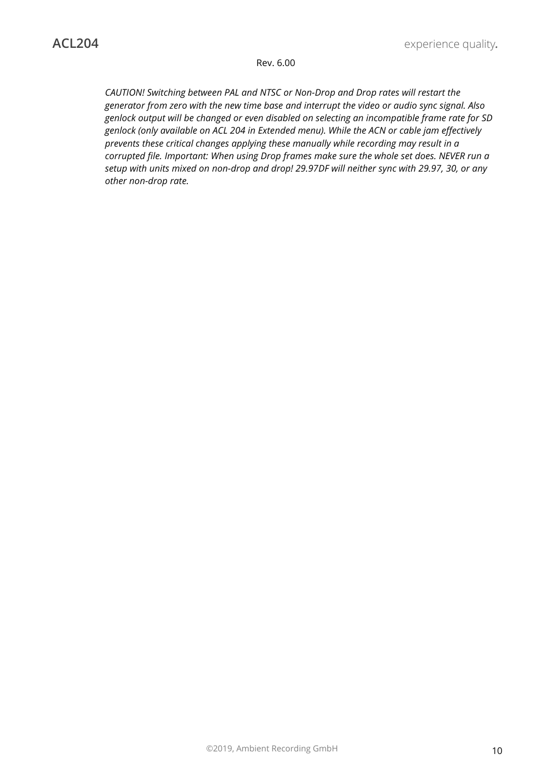*CAUTION! Switching between PAL and NTSC or Non-Drop and Drop rates will restart the generator from zero with the new time base and interrupt the video or audio sync signal. Also genlock output will be changed or even disabled on selecting an incompatible frame rate for SD genlock (only available on ACL 204 in Extended menu). While the ACN or cable jam effectively prevents these critical changes applying these manually while recording may result in a corrupted file. Important: When using Drop frames make sure the whole set does. NEVER run a setup with units mixed on non-drop and drop! 29.97DF will neither sync with 29.97, 30, or any other non-drop rate.*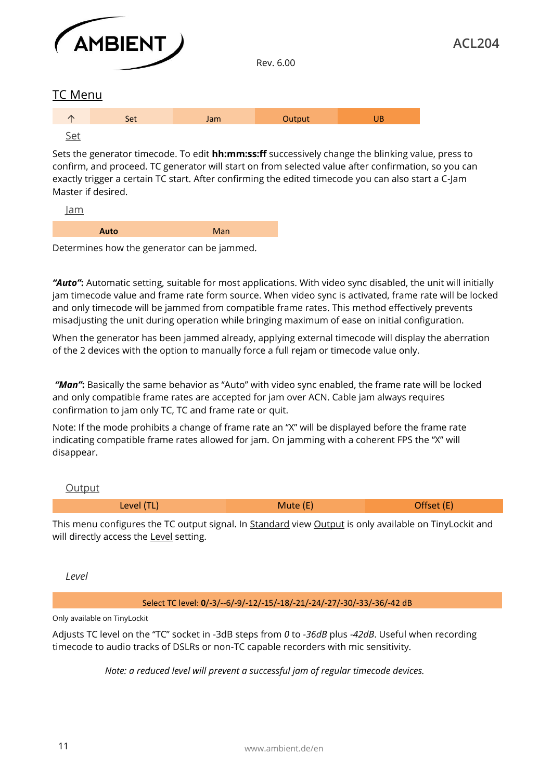

TC Menu



Set

Sets the generator timecode. To edit **hh:mm:ss:ff** successively change the blinking value, press to confirm, and proceed. TC generator will start on from selected value after confirmation, so you can exactly trigger a certain TC start. After confirming the edited timecode you can also start a C-Jam Master if desired.

Rev. 6.00

Jam

| <b>Auto</b> | $\blacksquare$<br>. |
|-------------|---------------------|
|             |                     |

Determines how the generator can be jammed.

*"Auto"***:** Automatic setting, suitable for most applications. With video sync disabled, the unit will initially jam timecode value and frame rate form source. When video sync is activated, frame rate will be locked and only timecode will be jammed from compatible frame rates. This method effectively prevents misadjusting the unit during operation while bringing maximum of ease on initial configuration.

When the generator has been jammed already, applying external timecode will display the aberration of the 2 devices with the option to manually force a full rejam or timecode value only.

*"Man"***:** Basically the same behavior as "Auto" with video sync enabled, the frame rate will be locked and only compatible frame rates are accepted for jam over ACN. Cable jam always requires confirmation to jam only TC, TC and frame rate or quit.

Note: If the mode prohibits a change of frame rate an "X" will be displayed before the frame rate indicating compatible frame rates allowed for jam. On jamming with a coherent FPS the "X" will disappear.

#### **Output**

| $(2)$ $\alpha$<br>$- - -$ |  |
|---------------------------|--|
|                           |  |

This menu configures the TC output signal. In Standard view Output is only available on TinyLockit and will directly access the Level setting.

*Level*

Select TC level: **0**/-3/--6/-9/-12/-15/-18/-21/-24/-27/-30/-33/-36/-42 dB

Only available on TinyLockit

Adjusts TC level on the "TC" socket in -3dB steps from *0* to *-36dB* plus *-42dB*. Useful when recording timecode to audio tracks of DSLRs or non-TC capable recorders with mic sensitivity.

*Note: a reduced level will prevent a successful jam of regular timecode devices.*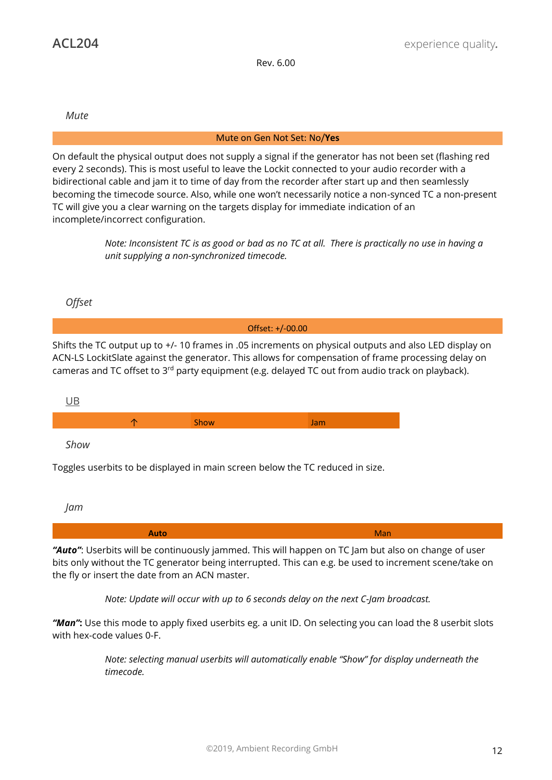*Mute*

#### Mute on Gen Not Set: No/**Yes**

On default the physical output does not supply a signal if the generator has not been set (flashing red every 2 seconds). This is most useful to leave the Lockit connected to your audio recorder with a bidirectional cable and jam it to time of day from the recorder after start up and then seamlessly becoming the timecode source. Also, while one won't necessarily notice a non-synced TC a non-present TC will give you a clear warning on the targets display for immediate indication of an incomplete/incorrect configuration.

> *Note: Inconsistent TC is as good or bad as no TC at all. There is practically no use in having a unit supplying a non-synchronized timecode.*

*Offset*



Toggles userbits to be displayed in main screen below the TC reduced in size.

*Jam*

*"Auto"*: Userbits will be continuously jammed. This will happen on TC Jam but also on change of user bits only without the TC generator being interrupted. This can e.g. be used to increment scene/take on the fly or insert the date from an ACN master.

*Note: Update will occur with up to 6 seconds delay on the next C-Jam broadcast.*

*"Man"***:** Use this mode to apply fixed userbits eg. a unit ID. On selecting you can load the 8 userbit slots with hex-code values 0-F.

> *Note: selecting manual userbits will automatically enable "Show" for display underneath the timecode.*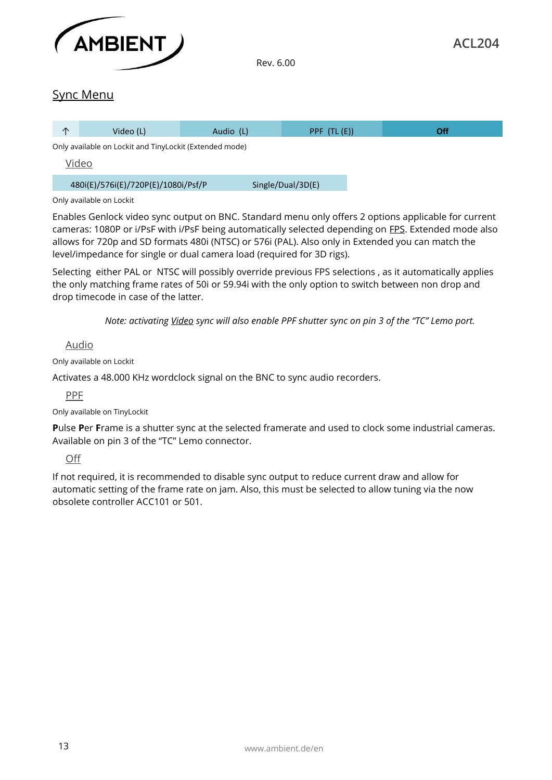

#### Sync Menu

| ∧     | Video (L)                                               | Audio (L) | $PPF$ (TL $(E)$ ) | <b>Off</b> |
|-------|---------------------------------------------------------|-----------|-------------------|------------|
|       | Only available on Lockit and TinyLockit (Extended mode) |           |                   |            |
| Video |                                                         |           |                   |            |
|       | 480i(E)/576i(E)/720P(E)/1080i/Psf/P                     |           | Single/Dual/3D(E) |            |

#### Only available on Lockit

Enables Genlock video sync output on BNC. Standard menu only offers 2 options applicable for current cameras: 1080P or i/PsF with i/PsF being automatically selected depending on FPS. Extended mode also allows for 720p and SD formats 480i (NTSC) or 576i (PAL). Also only in Extended you can match the level/impedance for single or dual camera load (required for 3D rigs).

Selecting either PAL or NTSC will possibly override previous FPS selections , as it automatically applies the only matching frame rates of 50i or 59.94i with the only option to switch between non drop and drop timecode in case of the latter.

*Note: activating Video sync will also enable PPF shutter sync on pin 3 of the "TC" Lemo port.* 

Audio

Only available on Lockit

Activates a 48.000 KHz wordclock signal on the BNC to sync audio recorders.

PPF

Only available on TinyLockit

**P**ulse **P**er **F**rame is a shutter sync at the selected framerate and used to clock some industrial cameras. Available on pin 3 of the "TC" Lemo connector.

Off

If not required, it is recommended to disable sync output to reduce current draw and allow for automatic setting of the frame rate on jam. Also, this must be selected to allow tuning via the now obsolete controller ACC101 or 501.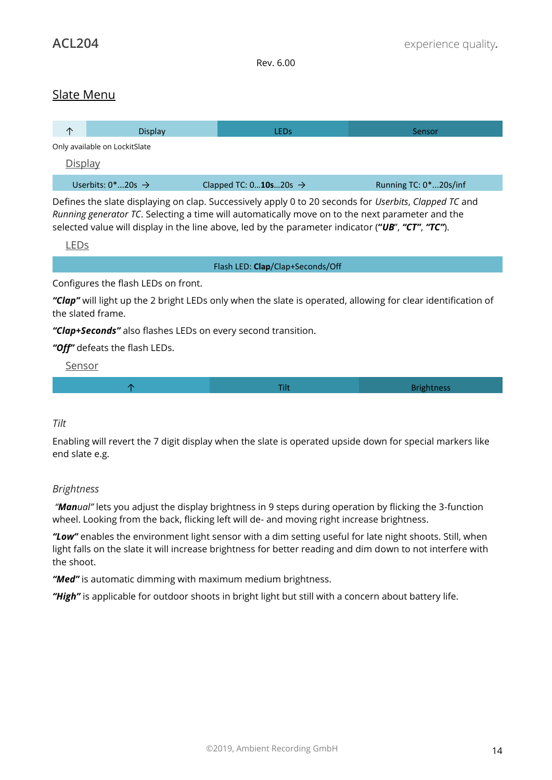### Slate Menu

| ∧              | Display                           | LEDs                              | Sensor                |
|----------------|-----------------------------------|-----------------------------------|-----------------------|
|                | Only available on LockitSlate     |                                   |                       |
| <u>Display</u> |                                   |                                   |                       |
|                | Userbits: $0^*$ 20s $\rightarrow$ | Clapped TC: $010s20s \rightarrow$ | Running TC: 0*20s/inf |

Defines the slate displaying on clap. Successively apply 0 to 20 seconds for *Userbits*, *Clapped TC* and *Running generator TC*. Selecting a time will automatically move on to the next parameter and the selected value will display in the line above, led by the parameter indicator (**"***UB*", *"CT"*, *"TC"*).

LEDs

Flash LED: **Clap**/Clap+Seconds/Off

Configures the flash LEDs on front.

*"Clap"* will light up the 2 bright LEDs only when the slate is operated, allowing for clear identification of the slated frame.

*"Clap+Seconds"* also flashes LEDs on every second transition.

*"Off"* defeats the flash LEDs.

Sensor

 $\uparrow$  Brightness  $\uparrow$  Brightness  $\uparrow$  Tilt Brightness  $\uparrow$ 

#### *Tilt*

Enabling will revert the 7 digit display when the slate is operated upside down for special markers like end slate e.g.

#### *Brightness*

*"Manual"* lets you adjust the display brightness in 9 steps during operation by flicking the 3-function wheel. Looking from the back, flicking left will de- and moving right increase brightness.

*"Low"* enables the environment light sensor with a dim setting useful for late night shoots. Still, when light falls on the slate it will increase brightness for better reading and dim down to not interfere with the shoot.

*"Med"* is automatic dimming with maximum medium brightness.

*"High"* is applicable for outdoor shoots in bright light but still with a concern about battery life.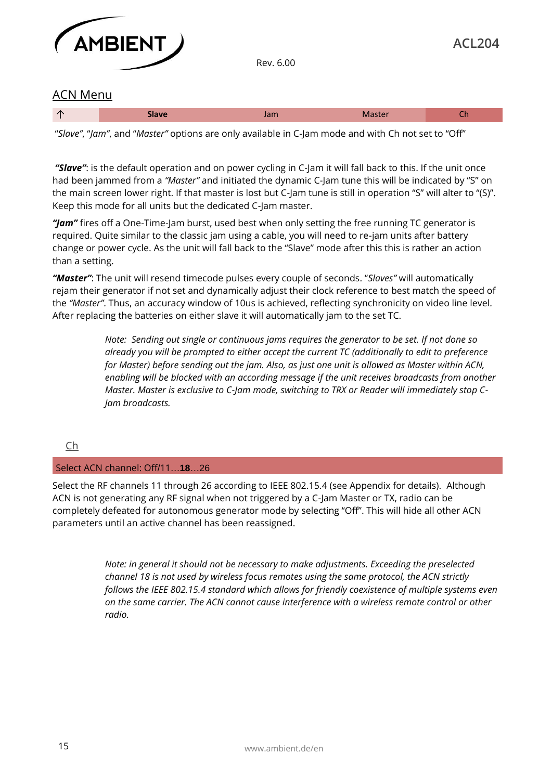

#### ACN Menu

"*Slave"*, "*Jam"*, and "*Master"* options are only available in C-Jam mode and with Ch not set to "Off"

*"Slave"*: is the default operation and on power cycling in C-Jam it will fall back to this. If the unit once had been jammed from a *"Master"* and initiated the dynamic C-Jam tune this will be indicated by "S" on the main screen lower right. If that master is lost but C-Jam tune is still in operation "S" will alter to "(S)". Keep this mode for all units but the dedicated C-Jam master.

*"Jam"* fires off a One-Time-Jam burst, used best when only setting the free running TC generator is required. Quite similar to the classic jam using a cable, you will need to re-jam units after battery change or power cycle. As the unit will fall back to the "Slave" mode after this this is rather an action than a setting.

*"Master"*: The unit will resend timecode pulses every couple of seconds. "*Slaves"* will automatically rejam their generator if not set and dynamically adjust their clock reference to best match the speed of the *"Master"*. Thus, an accuracy window of 10us is achieved, reflecting synchronicity on video line level. After replacing the batteries on either slave it will automatically jam to the set TC.

> *Note: Sending out single or continuous jams requires the generator to be set. If not done so already you will be prompted to either accept the current TC (additionally to edit to preference for Master) before sending out the jam. Also, as just one unit is allowed as Master within ACN, enabling will be blocked with an according message if the unit receives broadcasts from another Master. Master is exclusive to C-Jam mode, switching to TRX or Reader will immediately stop C-Jam broadcasts.*

#### Ch

#### Select ACN channel: Off/11…**18**…26

Select the RF channels 11 through 26 according to IEEE 802.15.4 (see Appendix for details). Although ACN is not generating any RF signal when not triggered by a C-Jam Master or TX, radio can be completely defeated for autonomous generator mode by selecting "Off". This will hide all other ACN parameters until an active channel has been reassigned.

> *Note: in general it should not be necessary to make adjustments. Exceeding the preselected channel 18 is not used by wireless focus remotes using the same protocol, the ACN strictly follows the IEEE 802.15.4 standard which allows for friendly coexistence of multiple systems even on the same carrier. The ACN cannot cause interference with a wireless remote control or other radio.*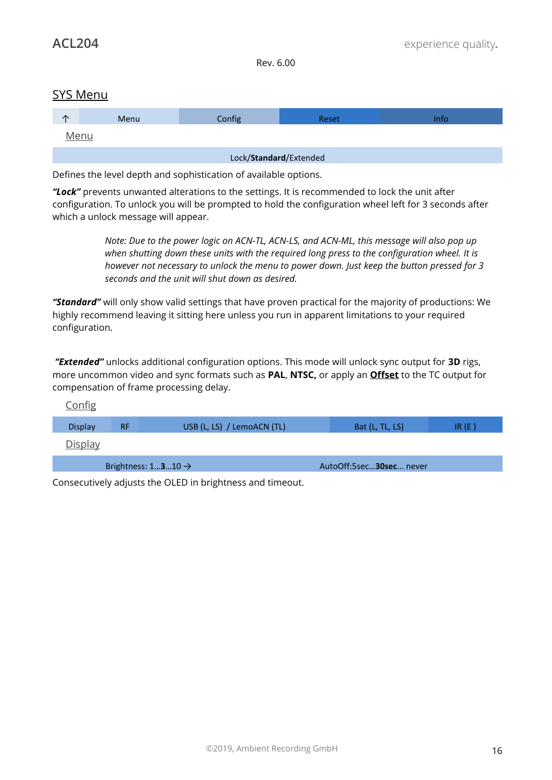#### SYS Menu

| y                      | Menu | Config | <b>Reset</b> | Info |  |  |
|------------------------|------|--------|--------------|------|--|--|
| Menu                   |      |        |              |      |  |  |
| Lock/Standard/Extended |      |        |              |      |  |  |

Defines the level depth and sophistication of available options.

*"Lock"* prevents unwanted alterations to the settings. It is recommended to lock the unit after configuration. To unlock you will be prompted to hold the configuration wheel left for 3 seconds after which a unlock message will appear.

> *Note: Due to the power logic on ACN-TL, ACN-LS, and ACN-ML, this message will also pop up when shutting down these units with the required long press to the configuration wheel. It is however not necessary to unlock the menu to power down. Just keep the button pressed for 3 seconds and the unit will shut down as desired.*

*"Standard"* will only show valid settings that have proven practical for the majority of productions: We highly recommend leaving it sitting here unless you run in apparent limitations to your required configuration.

*"Extended"* unlocks additional configuration options. This mode will unlock sync output for **3D** rigs, more uncommon video and sync formats such as **PAL**, **NTSC,** or apply an **Offset** to the TC output for compensation of frame processing delay.

| <b>Config</b>  |           |                                |                         |          |
|----------------|-----------|--------------------------------|-------------------------|----------|
| <b>Display</b> | <b>RF</b> | USB (L, LS) / LemoACN (TL)     | Bat (L, TL, LS)         | IR $(E)$ |
| <b>Display</b> |           |                                |                         |          |
|                |           | Brightness: $1310 \rightarrow$ | AutoOff:5sec30sec never |          |

Consecutively adjusts the OLED in brightness and timeout.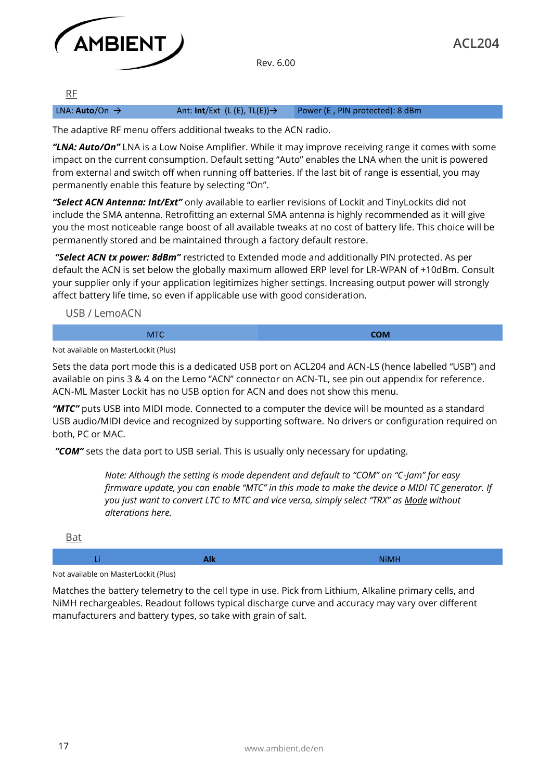

RF

LNA: **Auto**/On → Ant: **Int**/Ext (L (E), TL(E))→ Power (E , PIN protected): 8 dBm

The adaptive RF menu offers additional tweaks to the ACN radio.

*"LNA: Auto/On"* LNA is a Low Noise Amplifier. While it may improve receiving range it comes with some impact on the current consumption. Default setting "Auto" enables the LNA when the unit is powered from external and switch off when running off batteries. If the last bit of range is essential, you may permanently enable this feature by selecting "On".

*"Select ACN Antenna: Int/Ext"* only available to earlier revisions of Lockit and TinyLockits did not include the SMA antenna. Retrofitting an external SMA antenna is highly recommended as it will give you the most noticeable range boost of all available tweaks at no cost of battery life. This choice will be permanently stored and be maintained through a factory default restore.

*"Select ACN tx power: 8dBm"* restricted to Extended mode and additionally PIN protected. As per default the ACN is set below the globally maximum allowed ERP level for LR-WPAN of +10dBm. Consult your supplier only if your application legitimizes higher settings. Increasing output power will strongly affect battery life time, so even if applicable use with good consideration.

USB / LemoACN

#### MTC **COM**

Not available on MasterLockit (Plus)

Sets the data port mode this is a dedicated USB port on ACL204 and ACN-LS (hence labelled "USB") and available on pins 3 & 4 on the Lemo "ACN" connector on ACN-TL, see pin out appendix for reference. ACN-ML Master Lockit has no USB option for ACN and does not show this menu.

*"MTC"* puts USB into MIDI mode. Connected to a computer the device will be mounted as a standard USB audio/MIDI device and recognized by supporting software. No drivers or configuration required on both, PC or MAC.

*"COM"* sets the data port to USB serial. This is usually only necessary for updating.

*Note: Although the setting is mode dependent and default to "COM" on "C-Jam" for easy firmware update, you can enable "MTC" in this mode to make the device a MIDI TC generator. If you just want to convert LTC to MTC and vice versa, simply select "TRX" as Mode without alterations here.*

| _____ |                   |
|-------|-------------------|
|       | ALIN AV<br>v<br>. |

Not available on MasterLockit (Plus)

 $D = \pm$ 

Matches the battery telemetry to the cell type in use. Pick from Lithium, Alkaline primary cells, and NiMH rechargeables. Readout follows typical discharge curve and accuracy may vary over different manufacturers and battery types, so take with grain of salt.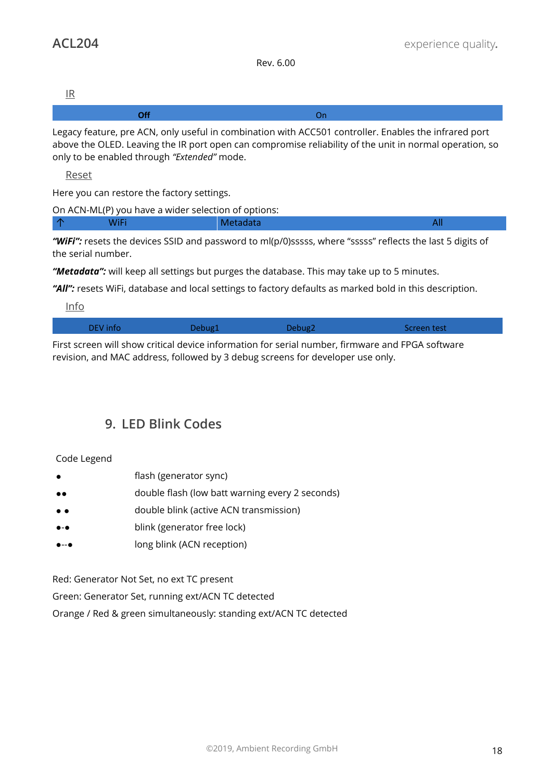IR

Legacy feature, pre ACN, only useful in combination with ACC501 controller. Enables the infrared port above the OLED. Leaving the IR port open can compromise reliability of the unit in normal operation, so only to be enabled through *"Extended"* mode.

Reset

Here you can restore the factory settings.

|    |      | On ACN-ML(P) you have a wider selection of options: |  |
|----|------|-----------------------------------------------------|--|
| ∣∧ | WiFi | Metadata                                            |  |

*"WiFi":* resets the devices SSID and password to ml(p/0)sssss, where "sssss" reflects the last 5 digits of the serial number.

*"Metadata":* will keep all settings but purges the database. This may take up to 5 minutes.

"All": resets WiFi, database and local settings to factory defaults as marked bold in this description.

Info

| DEV info | Debug1 | Debug2 | Screen test |
|----------|--------|--------|-------------|
|          |        |        |             |

First screen will show critical device information for serial number, firmware and FPGA software revision, and MAC address, followed by 3 debug screens for developer use only.

# **9. LED Blink Codes**

#### Code Legend

- flash (generator sync)
- ●● double flash (low batt warning every 2 seconds)
- ● double blink (active ACN transmission)
- blink (generator free lock)
- ●--● long blink (ACN reception)

Red: Generator Not Set, no ext TC present

Green: Generator Set, running ext/ACN TC detected

Orange / Red & green simultaneously: standing ext/ACN TC detected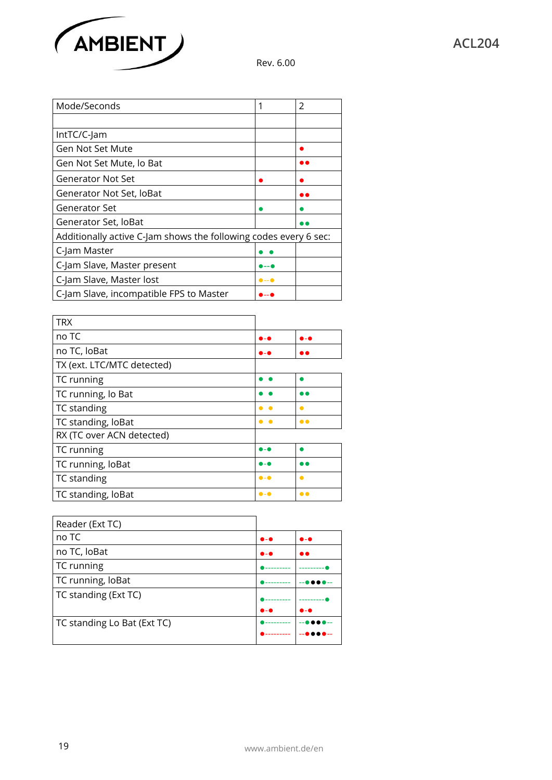

| Mode/Seconds                                                     |                        | $\mathcal{P}$ |  |
|------------------------------------------------------------------|------------------------|---------------|--|
|                                                                  |                        |               |  |
| IntTC/C-Jam                                                      |                        |               |  |
| Gen Not Set Mute                                                 |                        |               |  |
| Gen Not Set Mute, lo Bat                                         |                        | e e           |  |
| Generator Not Set                                                |                        |               |  |
| Generator Not Set, loBat                                         |                        |               |  |
| Generator Set                                                    |                        |               |  |
| Generator Set, loBat                                             |                        |               |  |
| Additionally active C-Jam shows the following codes every 6 sec: |                        |               |  |
| C-Jam Master                                                     |                        |               |  |
| C-Jam Slave, Master present                                      | D -- Q                 |               |  |
| C-Jam Slave, Master lost                                         | $\bullet$ -- $\bullet$ |               |  |
| C-Jam Slave, incompatible FPS to Master                          |                        |               |  |

| <b>TRX</b>                 |                       |                     |
|----------------------------|-----------------------|---------------------|
| no TC                      | D – 6                 | D - A               |
| no TC, loBat               | 0 - Q                 |                     |
| TX (ext. LTC/MTC detected) |                       |                     |
| TC running                 |                       |                     |
| TC running, lo Bat         |                       |                     |
| TC standing                | $\bullet$             | $\bullet$           |
| TC standing, loBat         | $\bullet$             | $\bullet$           |
| RX (TC over ACN detected)  |                       |                     |
| TC running                 | 0 - G                 |                     |
| TC running, loBat          | 0 - Q                 | . .                 |
| TC standing                | $\bullet$ - $\bullet$ | $\bullet$           |
| TC standing, loBat         | $\bullet$ - $\bullet$ | $\bullet$ $\bullet$ |

| Reader (Ext TC)             |                       |                       |
|-----------------------------|-----------------------|-----------------------|
| no TC                       | $\bullet$ - $\bullet$ | $\bullet$ - $\bullet$ |
| no TC, loBat                | $\bullet$ - $\bullet$ | $\bullet\bullet$      |
| TC running                  |                       |                       |
| TC running, loBat           |                       |                       |
| TC standing (Ext TC)        |                       |                       |
|                             | $\bullet$ - $\bullet$ | 0 - Q                 |
| TC standing Lo Bat (Ext TC) |                       |                       |
|                             |                       |                       |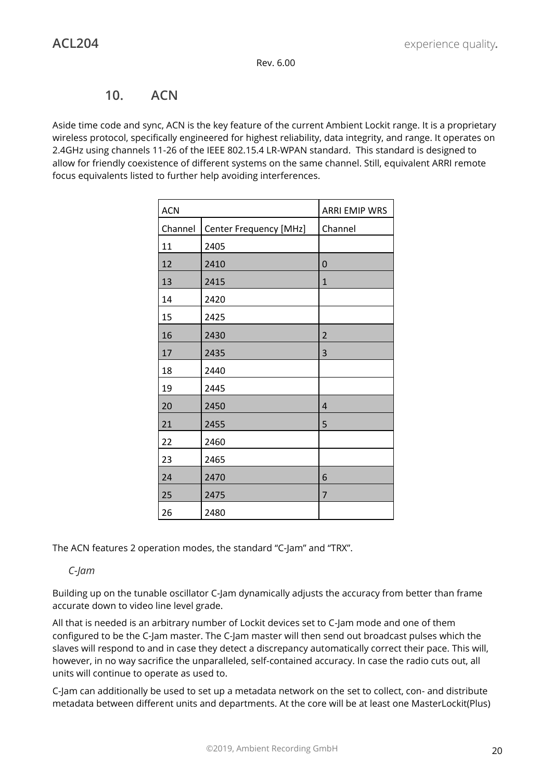### **10. ACN**

Aside time code and sync, ACN is the key feature of the current Ambient Lockit range. It is a proprietary wireless protocol, specifically engineered for highest reliability, data integrity, and range. It operates on 2.4GHz using channels 11-26 of the IEEE 802.15.4 LR-WPAN standard. This standard is designed to allow for friendly coexistence of different systems on the same channel. Still, equivalent ARRI remote focus equivalents listed to further help avoiding interferences.

| <b>ACN</b> |                        | <b>ARRI EMIP WRS</b> |
|------------|------------------------|----------------------|
| Channel    | Center Frequency [MHz] | Channel              |
| 11         | 2405                   |                      |
| 12         | 2410                   | 0                    |
| 13         | 2415                   | $\mathbf{1}$         |
| 14         | 2420                   |                      |
| 15         | 2425                   |                      |
| 16         | 2430                   | $\overline{2}$       |
| 17         | 2435                   | 3                    |
| 18         | 2440                   |                      |
| 19         | 2445                   |                      |
| 20         | 2450                   | $\overline{4}$       |
| 21         | 2455                   | 5                    |
| 22         | 2460                   |                      |
| 23         | 2465                   |                      |
| 24         | 2470                   | 6                    |
| 25         | 2475                   | $\overline{7}$       |
| 26         | 2480                   |                      |

The ACN features 2 operation modes, the standard "C-Jam" and "TRX".

#### *C-Jam*

Building up on the tunable oscillator C-Jam dynamically adjusts the accuracy from better than frame accurate down to video line level grade.

All that is needed is an arbitrary number of Lockit devices set to C-Jam mode and one of them configured to be the C-Jam master. The C-Jam master will then send out broadcast pulses which the slaves will respond to and in case they detect a discrepancy automatically correct their pace. This will, however, in no way sacrifice the unparalleled, self-contained accuracy. In case the radio cuts out, all units will continue to operate as used to.

C-Jam can additionally be used to set up a metadata network on the set to collect, con- and distribute metadata between different units and departments. At the core will be at least one MasterLockit(Plus)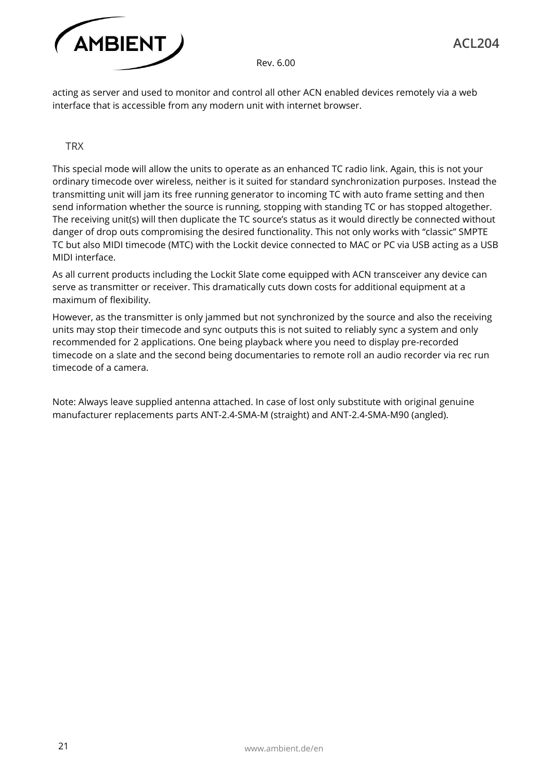

acting as server and used to monitor and control all other ACN enabled devices remotely via a web interface that is accessible from any modern unit with internet browser.

**TRX** 

This special mode will allow the units to operate as an enhanced TC radio link. Again, this is not your ordinary timecode over wireless, neither is it suited for standard synchronization purposes. Instead the transmitting unit will jam its free running generator to incoming TC with auto frame setting and then send information whether the source is running, stopping with standing TC or has stopped altogether. The receiving unit(s) will then duplicate the TC source's status as it would directly be connected without danger of drop outs compromising the desired functionality. This not only works with "classic" SMPTE TC but also MIDI timecode (MTC) with the Lockit device connected to MAC or PC via USB acting as a USB MIDI interface.

As all current products including the Lockit Slate come equipped with ACN transceiver any device can serve as transmitter or receiver. This dramatically cuts down costs for additional equipment at a maximum of flexibility.

However, as the transmitter is only jammed but not synchronized by the source and also the receiving units may stop their timecode and sync outputs this is not suited to reliably sync a system and only recommended for 2 applications. One being playback where you need to display pre-recorded timecode on a slate and the second being documentaries to remote roll an audio recorder via rec run timecode of a camera.

Note: Always leave supplied antenna attached. In case of lost only substitute with original genuine manufacturer replacements parts ANT-2.4-SMA-M (straight) and ANT-2.4-SMA-M90 (angled).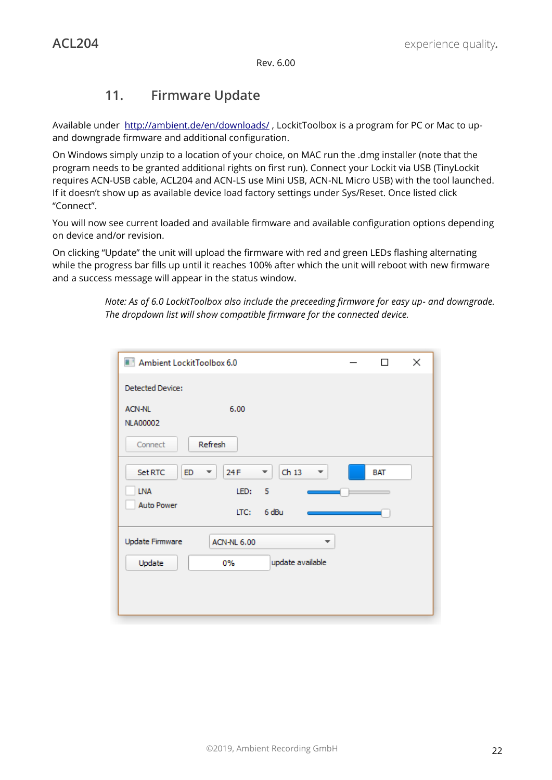# **11. Firmware Update**

Available under http://ambient.de/en/downloads/, LockitToolbox is a program for PC or Mac to upand downgrade firmware and additional configuration.

On Windows simply unzip to a location of your choice, on MAC run the .dmg installer (note that the program needs to be granted additional rights on first run). Connect your Lockit via USB (TinyLockit requires ACN-USB cable, ACL204 and ACN-LS use Mini USB, ACN-NL Micro USB) with the tool launched. If it doesn't show up as available device load factory settings under Sys/Reset. Once listed click "Connect".

You will now see current loaded and available firmware and available configuration options depending on device and/or revision.

On clicking "Update" the unit will upload the firmware with red and green LEDs flashing alternating while the progress bar fills up until it reaches 100% after which the unit will reboot with new firmware and a success message will appear in the status window.

> *Note: As of 6.0 LockitToolbox also include the preceeding firmware for easy up- and downgrade. The dropdown list will show compatible firmware for the connected device.*

| Ambient LockitToolbox 6.0        |                    |                             | П          | × |
|----------------------------------|--------------------|-----------------------------|------------|---|
| Detected Device:                 |                    |                             |            |   |
| <b>ACN-NL</b><br><b>NLA00002</b> | 6.00               |                             |            |   |
| Connect                          | Refresh            |                             |            |   |
| <b>Set RTC</b><br>ED.            | 24 F<br>▼          | Ch <sub>13</sub><br>▼.<br>▼ | <b>BAT</b> |   |
| <b>LNA</b>                       | LED:               | 5                           |            |   |
| <b>Auto Power</b>                | LTC:               | 6 dBu                       |            |   |
| Update Firmware                  | <b>ACN-NL 6.00</b> | ▼                           |            |   |
| Update                           | $0\%$              | update available            |            |   |
|                                  |                    |                             |            |   |
|                                  |                    |                             |            |   |
|                                  |                    |                             |            |   |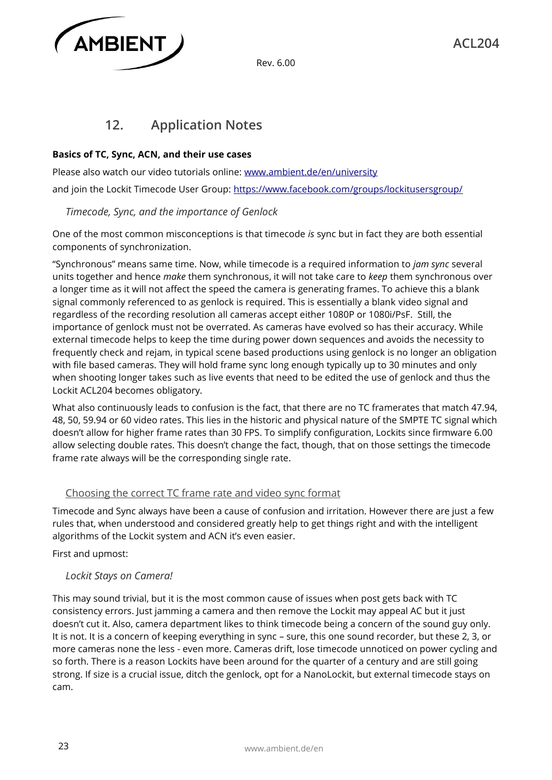

# **12. Application Notes**

#### **Basics of TC, Sync, ACN, and their use cases**

Please also watch our video tutorials online: www.ambient.de/en/university and join the Lockit Timecode User Group: https://www.facebook.com/groups/lockitusersgroup/

#### *Timecode, Sync, and the importance of Genlock*

One of the most common misconceptions is that timecode *is* sync but in fact they are both essential components of synchronization.

"Synchronous" means same time. Now, while timecode is a required information to *jam sync* several units together and hence *make* them synchronous, it will not take care to *keep* them synchronous over a longer time as it will not affect the speed the camera is generating frames. To achieve this a blank signal commonly referenced to as genlock is required. This is essentially a blank video signal and regardless of the recording resolution all cameras accept either 1080P or 1080i/PsF. Still, the importance of genlock must not be overrated. As cameras have evolved so has their accuracy. While external timecode helps to keep the time during power down sequences and avoids the necessity to frequently check and rejam, in typical scene based productions using genlock is no longer an obligation with file based cameras. They will hold frame sync long enough typically up to 30 minutes and only when shooting longer takes such as live events that need to be edited the use of genlock and thus the Lockit ACL204 becomes obligatory.

What also continuously leads to confusion is the fact, that there are no TC framerates that match 47.94, 48, 50, 59.94 or 60 video rates. This lies in the historic and physical nature of the SMPTE TC signal which doesn't allow for higher frame rates than 30 FPS. To simplify configuration, Lockits since firmware 6.00 allow selecting double rates. This doesn't change the fact, though, that on those settings the timecode frame rate always will be the corresponding single rate.

#### Choosing the correct TC frame rate and video sync format

Timecode and Sync always have been a cause of confusion and irritation. However there are just a few rules that, when understood and considered greatly help to get things right and with the intelligent algorithms of the Lockit system and ACN it's even easier.

First and upmost:

#### *Lockit Stays on Camera!*

This may sound trivial, but it is the most common cause of issues when post gets back with TC consistency errors. Just jamming a camera and then remove the Lockit may appeal AC but it just doesn't cut it. Also, camera department likes to think timecode being a concern of the sound guy only. It is not. It is a concern of keeping everything in sync – sure, this one sound recorder, but these 2, 3, or more cameras none the less - even more. Cameras drift, lose timecode unnoticed on power cycling and so forth. There is a reason Lockits have been around for the quarter of a century and are still going strong. If size is a crucial issue, ditch the genlock, opt for a NanoLockit, but external timecode stays on cam.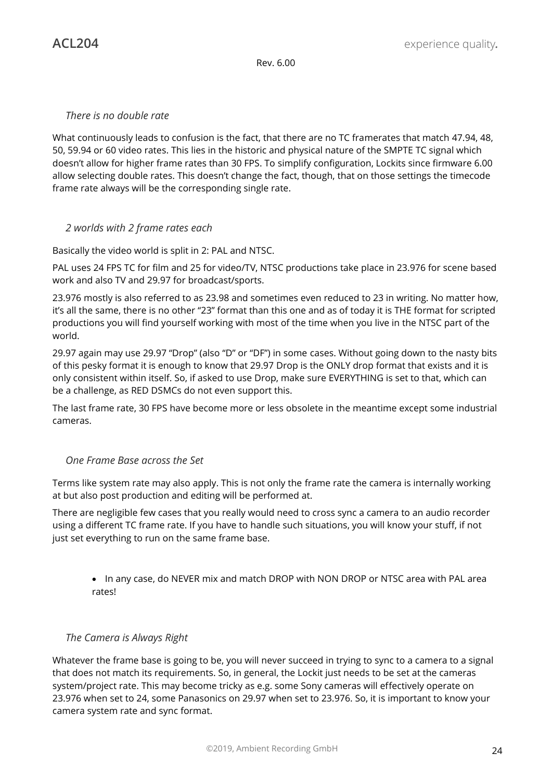#### *There is no double rate*

What continuously leads to confusion is the fact, that there are no TC framerates that match 47.94, 48, 50, 59.94 or 60 video rates. This lies in the historic and physical nature of the SMPTE TC signal which doesn't allow for higher frame rates than 30 FPS. To simplify configuration, Lockits since firmware 6.00 allow selecting double rates. This doesn't change the fact, though, that on those settings the timecode frame rate always will be the corresponding single rate.

#### *2 worlds with 2 frame rates each*

Basically the video world is split in 2: PAL and NTSC.

PAL uses 24 FPS TC for film and 25 for video/TV, NTSC productions take place in 23.976 for scene based work and also TV and 29.97 for broadcast/sports.

23.976 mostly is also referred to as 23.98 and sometimes even reduced to 23 in writing. No matter how, it's all the same, there is no other "23" format than this one and as of today it is THE format for scripted productions you will find yourself working with most of the time when you live in the NTSC part of the world.

29.97 again may use 29.97 "Drop" (also "D" or "DF") in some cases. Without going down to the nasty bits of this pesky format it is enough to know that 29.97 Drop is the ONLY drop format that exists and it is only consistent within itself. So, if asked to use Drop, make sure EVERYTHING is set to that, which can be a challenge, as RED DSMCs do not even support this.

The last frame rate, 30 FPS have become more or less obsolete in the meantime except some industrial cameras.

#### *One Frame Base across the Set*

Terms like system rate may also apply. This is not only the frame rate the camera is internally working at but also post production and editing will be performed at.

There are negligible few cases that you really would need to cross sync a camera to an audio recorder using a different TC frame rate. If you have to handle such situations, you will know your stuff, if not just set everything to run on the same frame base.

• In any case, do NEVER mix and match DROP with NON DROP or NTSC area with PAL area rates!

#### *The Camera is Always Right*

Whatever the frame base is going to be, you will never succeed in trying to sync to a camera to a signal that does not match its requirements. So, in general, the Lockit just needs to be set at the cameras system/project rate. This may become tricky as e.g. some Sony cameras will effectively operate on 23.976 when set to 24, some Panasonics on 29.97 when set to 23.976. So, it is important to know your camera system rate and sync format.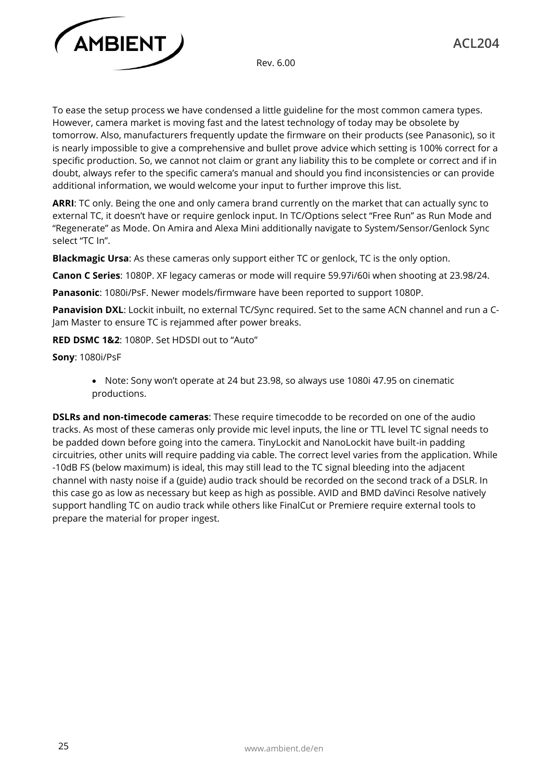

To ease the setup process we have condensed a little guideline for the most common camera types. However, camera market is moving fast and the latest technology of today may be obsolete by tomorrow. Also, manufacturers frequently update the firmware on their products (see Panasonic), so it is nearly impossible to give a comprehensive and bullet prove advice which setting is 100% correct for a specific production. So, we cannot not claim or grant any liability this to be complete or correct and if in doubt, always refer to the specific camera's manual and should you find inconsistencies or can provide additional information, we would welcome your input to further improve this list.

**ARRI**: TC only. Being the one and only camera brand currently on the market that can actually sync to external TC, it doesn't have or require genlock input. In TC/Options select "Free Run" as Run Mode and "Regenerate" as Mode. On Amira and Alexa Mini additionally navigate to System/Sensor/Genlock Sync select "TC In".

**Blackmagic Ursa**: As these cameras only support either TC or genlock, TC is the only option.

**Canon C Series**: 1080P. XF legacy cameras or mode will require 59.97i/60i when shooting at 23.98/24.

**Panasonic**: 1080i/PsF. Newer models/firmware have been reported to support 1080P.

Panavision DXL: Lockit inbuilt, no external TC/Sync required. Set to the same ACN channel and run a C-Jam Master to ensure TC is rejammed after power breaks.

**RED DSMC 1&2**: 1080P. Set HDSDI out to "Auto"

**Sony**: 1080i/PsF

• Note: Sony won't operate at 24 but 23.98, so always use 1080i 47.95 on cinematic productions.

**DSLRs and non-timecode cameras**: These require timecodde to be recorded on one of the audio tracks. As most of these cameras only provide mic level inputs, the line or TTL level TC signal needs to be padded down before going into the camera. TinyLockit and NanoLockit have built-in padding circuitries, other units will require padding via cable. The correct level varies from the application. While -10dB FS (below maximum) is ideal, this may still lead to the TC signal bleeding into the adjacent channel with nasty noise if a (guide) audio track should be recorded on the second track of a DSLR. In this case go as low as necessary but keep as high as possible. AVID and BMD daVinci Resolve natively support handling TC on audio track while others like FinalCut or Premiere require external tools to prepare the material for proper ingest.